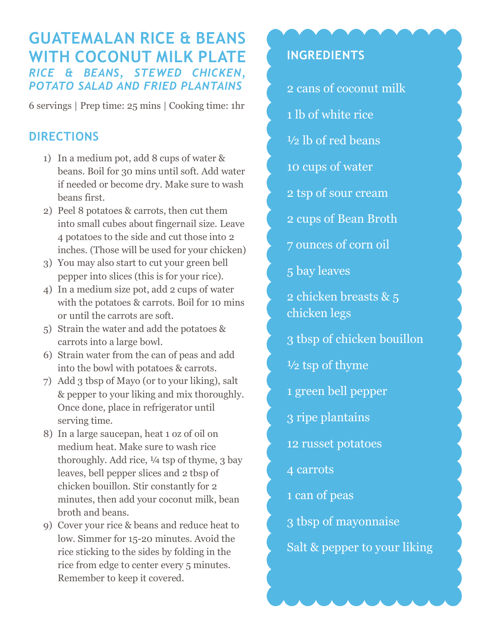## **GUATEMALAN RICE & BEANS WITH COCONUT MILK PLATE** *RICE & BEANS, STEWED CHICKEN, POTATO SALAD AND FRIED PLANTAINS*

6 servings | Prep time: 25 mins | Cooking time: 1hr

## **DIRECTIONS**

- 1) In a medium pot, add 8 cups of water & beans. Boil for 30 mins until soft. Add water if needed or become dry. Make sure to wash beans first.
- 2) Peel 8 potatoes & carrots, then cut them into small cubes about fingernail size. Leave 4 potatoes to the side and cut those into 2 inches. (Those will be used for your chicken)
- 3) You may also start to cut your green bell pepper into slices (this is for your rice).
- 4) In a medium size pot, add 2 cups of water with the potatoes & carrots. Boil for 10 mins or until the carrots are soft.
- 5) Strain the water and add the potatoes & carrots into a large bowl.
- 6) Strain water from the can of peas and add into the bowl with potatoes & carrots.
- 7) Add 3 tbsp of Mayo (or to your liking), salt & pepper to your liking and mix thoroughly. Once done, place in refrigerator until serving time.
- 8) In a large saucepan, heat 1 oz of oil on medium heat. Make sure to wash rice thoroughly. Add rice,  $\frac{1}{4}$  tsp of thyme, 3 bay leaves, bell pepper slices and 2 tbsp of chicken bouillon. Stir constantly for 2 minutes, then add your coconut milk, bean broth and beans.
- 9) Cover your rice & beans and reduce heat to low. Simmer for 15-20 minutes. Avoid the rice sticking to the sides by folding in the rice from edge to center every 5 minutes. Remember to keep it covered.

## **INGREDIENTS**

2 cans of coconut milk 1 lb of white rice

- ½ lb of red beans
- 10 cups of water
- 2 tsp of sour cream
- 2 cups of Bean Broth
- 7 ounces of corn oil
- 5 bay leaves
- 2 chicken breasts & 5 chicken legs
- 3 tbsp of chicken bouillon
- ½ tsp of thyme
- 1 green bell pepper
- 3 ripe plantains
- 12 russet potatoes
- 4 carrots
- 1 can of peas
- 3 tbsp of mayonnaise
- Salt & pepper to your liking